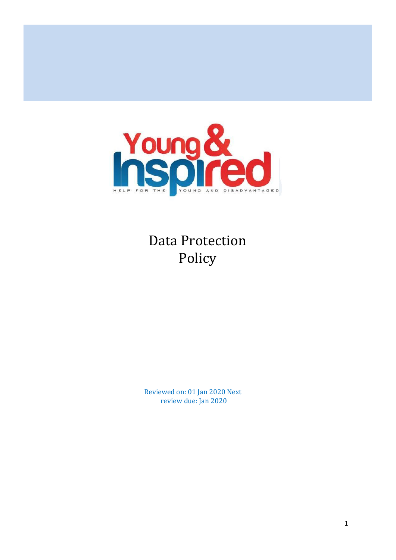

Data Protection Policy

Reviewed on: 01 Jan 2020 Next review due: Jan 2020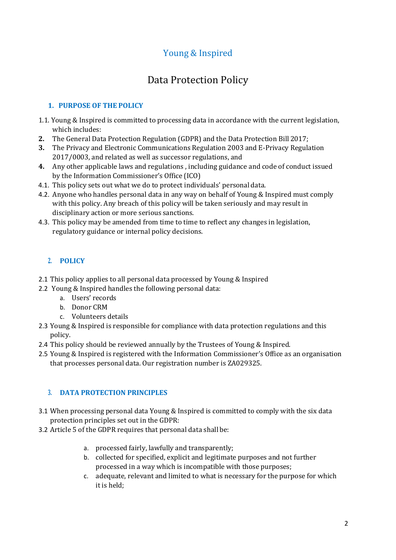# Young & Inspired

# Data Protection Policy

# **1. PURPOSE OF THE POLICY**

- 1.1. Young & Inspired is committed to processing data in accordance with the current legislation, which includes:
- **2.** The General Data Protection Regulation (GDPR) and the Data Protection Bill 2017;
- **3.** The Privacy and Electronic Communications Regulation 2003 and E-Privacy Regulation 2017/0003, and related as well as successor regulations, and
- **4.** Any other applicable laws and regulations , including guidance and code of conduct issued by the Information Commissioner's Office (ICO)
- 4.1. This policy sets out what we do to protect individuals' personal data.
- 4.2. Anyone who handles personal data in any way on behalf of Young & Inspired must comply with this policy. Any breach of this policy will be taken seriously and may result in disciplinary action or more serious sanctions.
- 4.3. This policy may be amended from time to time to reflect any changes in legislation, regulatory guidance or internal policy decisions.

# **2. POLICY**

- 2.1 This policy applies to all personal data processed by Young & Inspired
- 2.2 Young & Inspired handles the following personal data:
	- a. Users' records
	- b. Donor CRM
	- c. Volunteers details
- 2.3 Young & Inspired is responsible for compliance with data protection regulations and this policy.
- 2.4 This policy should be reviewed annually by the Trustees of Young & Inspired.
- 2.5 Young & Inspired is registered with the Information Commissioner's Office as an organisation that processes personal data. Our registration number is ZA029325.

# **3. DATA PROTECTION PRINCIPLES**

- 3.1 When processing personal data Young & Inspired is committed to comply with the six data protection principles set out in the GDPR:
- 3.2 Article 5 of the GDPR requires that personal data shall be:
	- a. processed fairly, lawfully and transparently;
	- b. collected for specified, explicit and legitimate purposes and not further processed in a way which is incompatible with those purposes;
	- c. adequate, relevant and limited to what is necessary for the purpose for which it is held;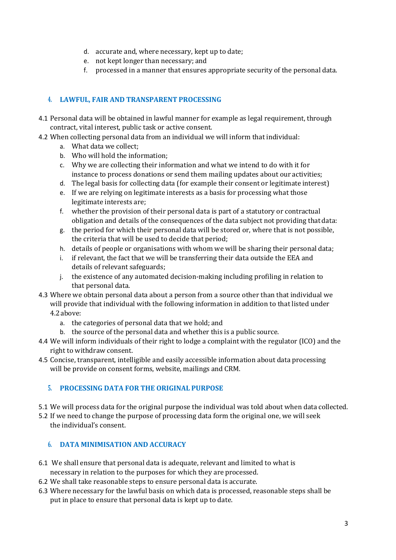- d. accurate and, where necessary, kept up to date;
- e. not kept longer than necessary; and
- f. processed in a manner that ensures appropriate security of the personal data.

## **4. LAWFUL, FAIR AND TRANSPARENT PROCESSING**

- 4.1 Personal data will be obtained in lawful manner for example as legal requirement, through contract, vital interest, public task or active consent.
- 4.2 When collecting personal data from an individual we will inform that individual:
	- a. What data we collect;
	- b. Who will hold the information;
	- c. Why we are collecting their information and what we intend to do with it for instance to process donations or send them mailing updates about our activities;
	- d. The legal basis for collecting data (for example their consent or legitimate interest)
	- e. If we are relying on legitimate interests as a basis for processing what those legitimate interests are;
	- f. whether the provision of their personal data is part of a statutory or contractual obligation and details of the consequences of the data subject not providing thatdata:
	- g. the period for which their personal data will be stored or, where that is not possible, the criteria that will be used to decide that period;
	- h. details of people or organisations with whom we will be sharing their personal data;
	- i. if relevant, the fact that we will be transferring their data outside the EEA and details of relevant safeguards;
	- j. the existence of any automated decision-making including profiling in relation to that personal data.
- 4.3 Where we obtain personal data about a person from a source other than that individual we will provide that individual with the following information in addition to that listed under 4.2above:
	- a. the categories of personal data that we hold; and
	- b. the source of the personal data and whether this is a public source.
- 4.4 We will inform individuals of their right to lodge a complaint with the regulator (ICO) and the right to withdraw consent.
- 4.5 Concise, transparent, intelligible and easily accessible information about data processing will be provide on consent forms, website, mailings and CRM.

## **5. PROCESSING DATA FOR THE ORIGINAL PURPOSE**

- 5.1 We will process data for the original purpose the individual was told about when data collected.
- 5.2 If we need to change the purpose of processing data form the original one, we will seek the individual's consent.

## **6. DATA MINIMISATION AND ACCURACY**

- 6.1 We shall ensure that personal data is adequate, relevant and limited to what is necessary in relation to the purposes for which they are processed.
- 6.2 We shall take reasonable steps to ensure personal data is accurate.
- 6.3 Where necessary for the lawful basis on which data is processed, reasonable steps shall be put in place to ensure that personal data is kept up to date.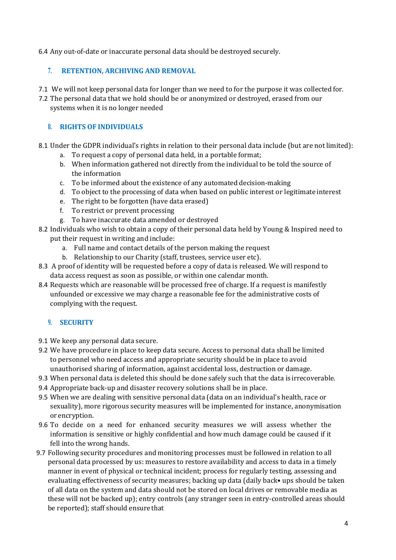6.4 Any out-of-date or inaccurate personal data should be destroyed securely.

## **7. RETENTION, ARCHIVING AND REMOVAL**

7.1 We will not keep personal data for longer than we need to for the purpose it was collected for.

7.2 The personal data that we hold should be or anonymized or destroyed, erased from our systems when it is no longer needed

## **8. RIGHTS OF INDIVIDUALS**

- 8.1 Under the GDPR individual's rights in relation to their personal data include (but are not limited):
	- a. To request a copy of personal data held, in a portable format;
	- b. When information gathered not directly from the individual to be told the source of the information
	- c. To be informed about the existence of any automated decision-making
	- d. To object to the processing of data when based on public interest or legitimate interest
	- e. The right to be forgotten (have data erased)
	- f. To restrict or prevent processing
	- g. To have inaccurate data amended or destroyed
- 8.2 Individuals who wish to obtain a copy of their personal data held by Young & Inspired need to put their request in writing and include:
	- a. Full name and contact details of the person making the request
	- b. Relationship to our Charity (staff, trustees, service user etc).
- 8.3 A proof of identity will be requested before a copy of data is released. We will respond to data access request as soon as possible, or within one calendar month.
- 8.4 Requests which are reasonable will be processed free of charge. If a request is manifestly unfounded or excessive we may charge a reasonable fee for the administrative costs of complying with the request.

# **9. SECURITY**

- 9.1 We keep any personal data secure.
- 9.2 We have procedure in place to keep data secure. Access to personal data shall be limited to personnel who need access and appropriate security should be in place to avoid unauthorised sharing of information, against accidental loss, destruction or damage.
- 9.3 When personal data is deleted this should be done safely such that the data is irrecoverable.
- 9.4 Appropriate back-up and disaster recovery solutions shall be in place.
- 9.5 When we are dealing with sensitive personal data (data on an individual's health, race or sexuality), more rigorous security measures will be implemented for instance, anonymisation or encryption.
- 9.6 To decide on a need for enhanced security measures we will assess whether the information is sensitive or highly confidential and how much damage could be caused if it fell into the wrong hands.
- 9.7 Following security procedures and monitoring processes must be followed in relation to all personal data processed by us: measures to restore availability and access to data in a timely manner in event of physical or technical incident; process for regularly testing, assessing and evaluating effectiveness of security measures; backing up data (daily back• ups should be taken of all data on the system and data should not be stored on local drives or removable media as these will not be backed up); entry controls (any stranger seen in entry-controlled areas should be reported); staff should ensure that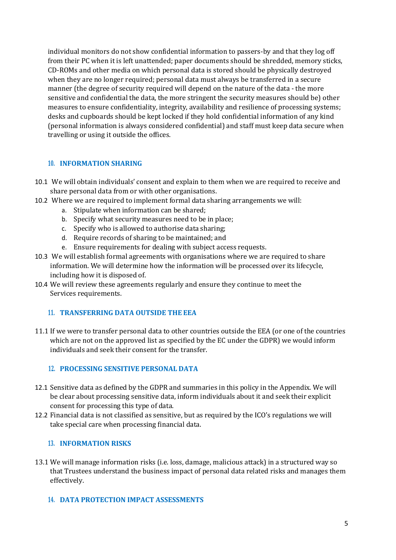individual monitors do not show confidential information to passers-by and that they log off from their PC when it is left unattended; paper documents should be shredded, memory sticks, CD-ROMs and other media on which personal data is stored should be physically destroyed when they are no longer required; personal data must always be transferred in a secure manner (the degree of security required will depend on the nature of the data - the more sensitive and confidential the data, the more stringent the security measures should be) other measures to ensure confidentiality, integrity, availability and resilience of processing systems; desks and cupboards should be kept locked if they hold confidential information of any kind (personal information is always considered confidential) and staff must keep data secure when travelling or using it outside the offices.

## **10. INFORMATION SHARING**

- 10.1 We will obtain individuals' consent and explain to them when we are required to receive and share personal data from or with other organisations.
- 10.2 Where we are required to implement formal data sharing arrangements we will:
	- a. Stipulate when information can be shared;
	- b. Specify what security measures need to be in place;
	- c. Specify who is allowed to authorise data sharing;
	- d. Require records of sharing to be maintained; and
	- e. Ensure requirements for dealing with subject access requests.
- 10.3 We will establish formal agreements with organisations where we are required to share information. We will determine how the information will be processed over its lifecycle, including how it is disposed of.
- 10.4 We will review these agreements regularly and ensure they continue to meet the Services requirements.

## **11. TRANSFERRING DATA OUTSIDE THE EEA**

11.1 If we were to transfer personal data to other countries outside the EEA (or one of the countries which are not on the approved list as specified by the EC under the GDPR) we would inform individuals and seek their consent for the transfer.

## **12. PROCESSING SENSITIVE PERSONAL DATA**

- 12.1 Sensitive data as defined by the GDPR and summaries in this policy in the Appendix. We will be clear about processing sensitive data, inform individuals about it and seek their explicit consent for processing this type of data.
- 12.2 Financial data is not classified as sensitive, but as required by the ICO's regulations we will take special care when processing financial data.

#### **13. INFORMATION RISKS**

13.1 We will manage information risks (i.e. loss, damage, malicious attack) in a structured way so that Trustees understand the business impact of personal data related risks and manages them effectively.

## **14. DATA PROTECTION IMPACT ASSESSMENTS**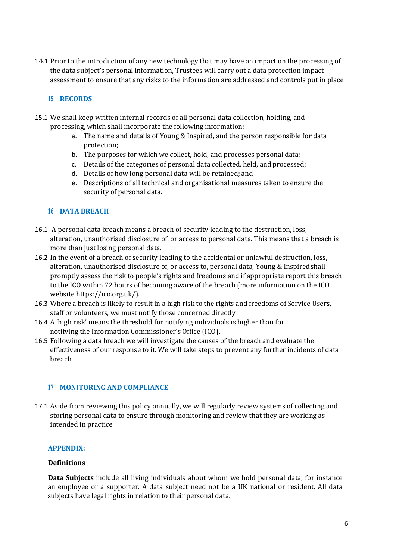14.1 Prior to the introduction of any new technology that may have an impact on the processing of the data subject's personal information, Trustees will carry out a data protection impact assessment to ensure that any risks to the information are addressed and controls put in place

#### **15. RECORDS**

- 15.1 We shall keep written internal records of all personal data collection, holding, and processing, which shall incorporate the following information:
	- a. The name and details of Young & Inspired, and the person responsible for data protection;
	- b. The purposes for which we collect, hold, and processes personal data;
	- c. Details of the categories of personal data collected, held, and processed;
	- d. Details of how long personal data will be retained; and
	- e. Descriptions of all technical and organisational measures taken to ensure the security of personal data.

#### **16. DATA BREACH**

- 16.1 A personal data breach means a breach of security leading to the destruction, loss, alteration, unauthorised disclosure of, or access to personal data. This means that a breach is more than just losing personal data.
- 16.2 In the event of a breach of security leading to the accidental or unlawful destruction, loss, alteration, unauthorised disclosure of, or access to, personal data, Young & Inspiredshall promptly assess the risk to people's rights and freedoms and if appropriate report this breach to the ICO within 72 hours of becoming aware of the breach (more information on the ICO website https://ico.org.uk/).
- 16.3 Where a breach is likely to result in a high risk to the rights and freedoms of Service Users, staff or volunteers, we must notify those concerned directly.
- 16.4 A 'high risk' means the threshold for notifying individuals is higher than for notifying the Information Commissioner's Office (ICO).
- 16.5 Following a data breach we will investigate the causes of the breach and evaluate the effectiveness of our response to it. We will take steps to prevent any further incidents of data breach.

#### **17. MONITORING AND COMPLIANCE**

17.1 Aside from reviewing this policy annually, we will regularly review systems of collecting and storing personal data to ensure through monitoring and review that they are working as intended in practice.

#### **APPENDIX:**

#### **Definitions**

**Data Subjects** include all living individuals about whom we hold personal data, for instance an employee or a supporter. A data subject need not be a UK national or resident. All data subjects have legal rights in relation to their personal data.